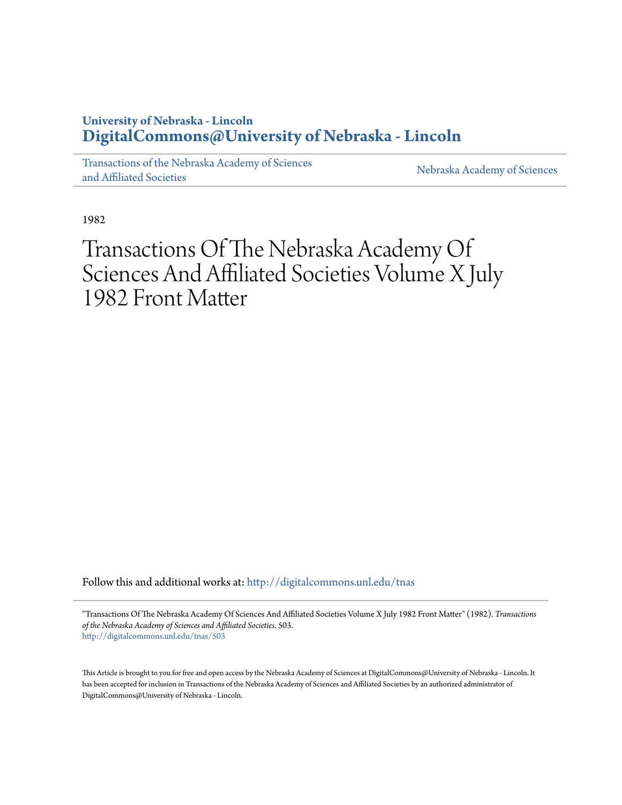## **University of Nebraska - Lincoln [DigitalCommons@University of Nebraska - Lincoln](http://digitalcommons.unl.edu?utm_source=digitalcommons.unl.edu%2Ftnas%2F503&utm_medium=PDF&utm_campaign=PDFCoverPages)**

[Transactions of the Nebraska Academy of Sciences](http://digitalcommons.unl.edu/tnas?utm_source=digitalcommons.unl.edu%2Ftnas%2F503&utm_medium=PDF&utm_campaign=PDFCoverPages) [and Affiliated Societies](http://digitalcommons.unl.edu/tnas?utm_source=digitalcommons.unl.edu%2Ftnas%2F503&utm_medium=PDF&utm_campaign=PDFCoverPages)

[Nebraska Academy of Sciences](http://digitalcommons.unl.edu/nebacadsci?utm_source=digitalcommons.unl.edu%2Ftnas%2F503&utm_medium=PDF&utm_campaign=PDFCoverPages)

1982

# Transactions Of The Nebraska Academy Of Sciences And Affiliated Societies Volume X July 1982 Front Matter

Follow this and additional works at: [http://digitalcommons.unl.edu/tnas](http://digitalcommons.unl.edu/tnas?utm_source=digitalcommons.unl.edu%2Ftnas%2F503&utm_medium=PDF&utm_campaign=PDFCoverPages)

"Transactions Of The Nebraska Academy Of Sciences And Affiliated Societies Volume X July 1982 Front Matter" (1982). *Transactions of the Nebraska Academy of Sciences and Affiliated Societies*. 503. [http://digitalcommons.unl.edu/tnas/503](http://digitalcommons.unl.edu/tnas/503?utm_source=digitalcommons.unl.edu%2Ftnas%2F503&utm_medium=PDF&utm_campaign=PDFCoverPages)

This Article is brought to you for free and open access by the Nebraska Academy of Sciences at DigitalCommons@University of Nebraska - Lincoln. It has been accepted for inclusion in Transactions of the Nebraska Academy of Sciences and Affiliated Societies by an authorized administrator of DigitalCommons@University of Nebraska - Lincoln.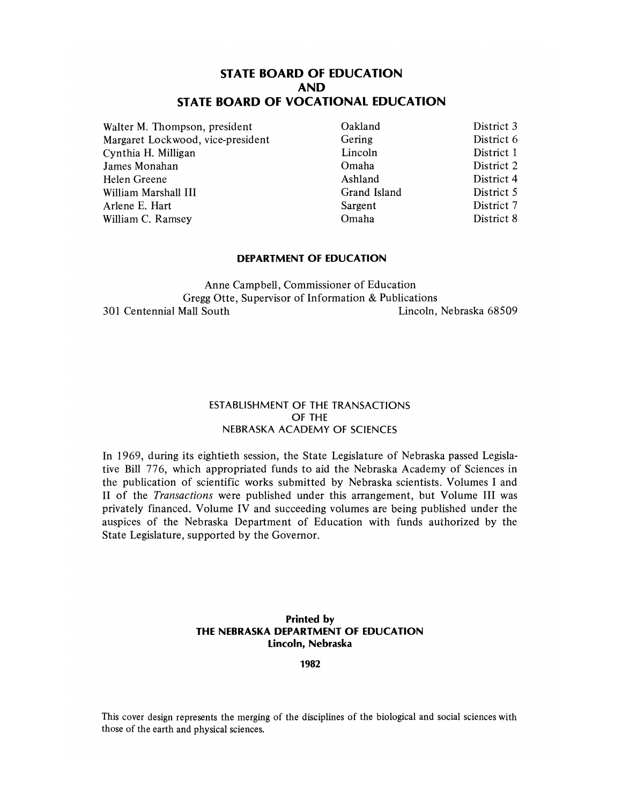### **STATE BOARD OF EDUCATION AND STATE BOARD OF VOCATIONAL EDUCATION**

Waiter M. Thompson, president Margaret Lockwood, vice-president Cynthia H. Milligan James Monahan Helen Greene William Marshall III Arlene E. Hart William C. Ramsey

Oakland Gering Lincoln Omaha Ashland Grand Island Sargent Omaha

District 3 District 6 District I District 2 District 4 District 5 District 7 District 8

#### **DEPARTMENT OF EDUCATION**

Anne Campbell, Commissioner of Education Gregg Otte, Supervisor of Information & Publications 301 Centennial Mall South Lincoln, Nebraska 68509

### ESTABLISHMENT OF THE TRANSACTIONS OF THE NEBRASKA ACADEMY OF SCIENCES

In 1969, during its eightieth session, the State Legislature of Nebraska passed Legislative Bill 776, which appropriated funds to aid the Nebraska Academy of Sciences in the publication of scientific works submitted by Nebraska scientists. Volumes I and 11 of the *Transactions* were published under this arrangement, but Volume III was privately financed. Volume IV and succeeding volumes are being published under the auspices of the Nebraska Department of Education with funds authorized by the State Legislature, supported by the Governor.

### **Printed by THE NEBRASKA DEPARTMENT OF EDUCATION Lincoln, Nebraska**

**1982** 

This cover design represents the merging of the disciplines of the biological and social sciences with those of the earth and physical sciences.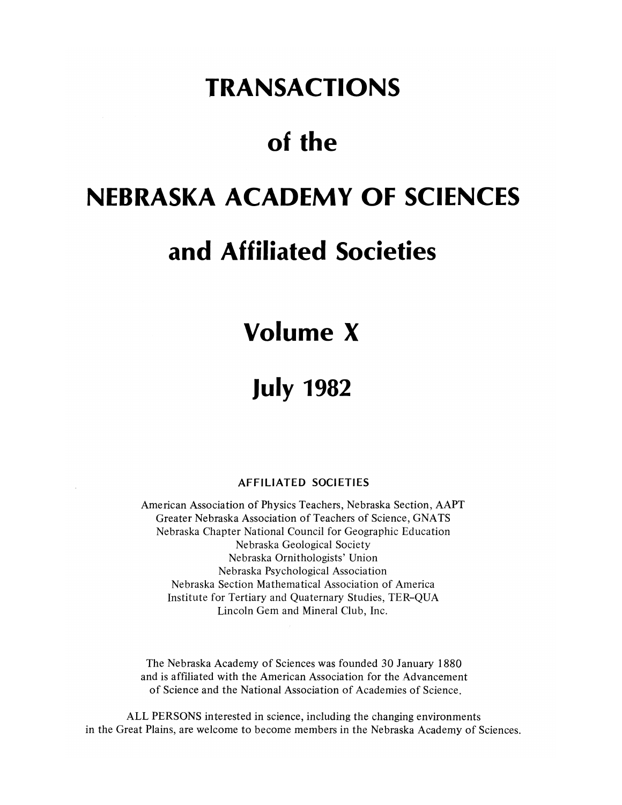# **TRANSACTIONS**

# of the

# **NEBRASKA ACADEMY OF SCIENCES**

# **and Affiliated Societies**

# **Volume X**

# **July 1982**

### **AFFILIATED SOCIETIES**

American Association of Physics Teachers, Nebraska Section, AAPT Greater Nebraska Association of Teachers of Science, GNATS Nebraska Chapter National Council for Geographic Education Nebraska Geological Society Nebraska Ornithologists' Union Nebraska Psychological Association Nebraska Section Mathematical Association of America Institute for Tertiary and Quaternary Studies, TER-QUA Lincoln Gem and Mineral Club, Inc.

The Nebraska Academy of Sciences was founded 30 January 1880 and is affiliated with the American Association for the Advancement of Science and the National Association of Academies of Science.

ALL PERSONS interested in science, including the changing environments in the Great Plains, are welcome to become members in the Nebraska Academy of Sciences.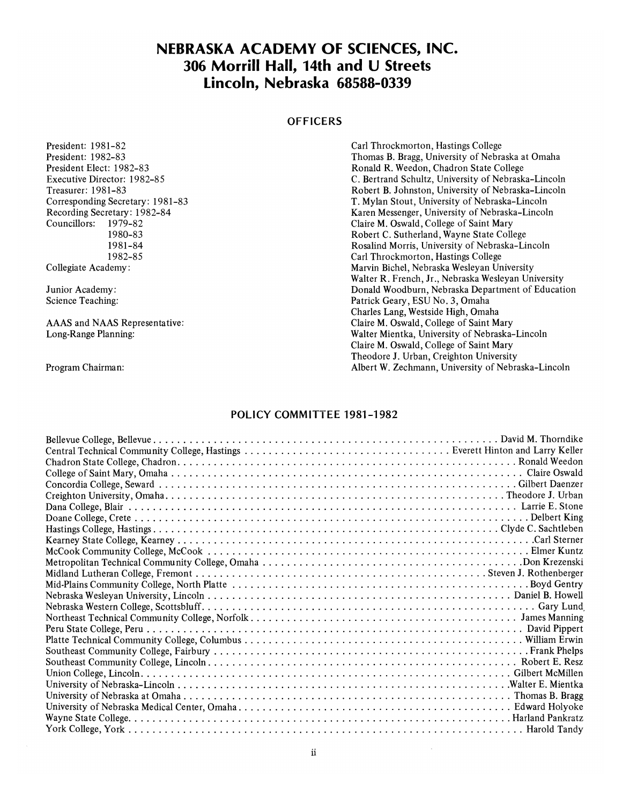## **NEBRASKA ACADEMY OF SCIENCES, INC. 306 Morrill Hall, 14th and U Streets Lincoln, Nebraska 68588-0339**

### **OFFICERS**

| President: 1981-82               | Carl Throckmorton, Hastings College                 |
|----------------------------------|-----------------------------------------------------|
| President: 1982-83               | Thomas B. Bragg, University of Nebraska at Omaha    |
| President Elect: 1982-83         | Ronald R. Weedon, Chadron State College             |
| Executive Director: 1982-85      | C. Bertrand Schultz, University of Nebraska–Lincoln |
| Treasurer: 1981-83               | Robert B. Johnston, University of Nebraska-Lincoln  |
| Corresponding Secretary: 1981-83 | T. Mylan Stout, University of Nebraska-Lincoln      |
| Recording Secretary: 1982-84     | Karen Messenger, University of Nebraska–Lincoln     |
| Councillors:<br>1979-82          | Claire M. Oswald, College of Saint Mary             |
| 1980-83                          | Robert C. Sutherland, Wayne State College           |
| 1981-84                          | Rosalind Morris, University of Nebraska-Lincoln     |
| 1982-85                          | Carl Throckmorton, Hastings College                 |
| Collegiate Academy:              | Marvin Bichel, Nebraska Wesleyan University         |
|                                  | Walter R. French, Jr., Nebraska Wesleyan University |
| Junior Academy:                  | Donald Woodburn, Nebraska Department of Education   |
| Science Teaching:                | Patrick Geary, ESU No. 3, Omaha                     |
|                                  | Charles Lang, Westside High, Omaha                  |
| AAAS and NAAS Representative:    | Claire M. Oswald, College of Saint Mary             |
| Long-Range Planning:             | Walter Mientka, University of Nebraska–Lincoln      |
|                                  | Claire M. Oswald, College of Saint Mary             |
|                                  | Theodore J. Urban, Creighton University             |
| Program Chairman:                | Albert W. Zechmann, University of Nebraska–Lincoln  |

### **POLICY COMMITTEE 1981-1982**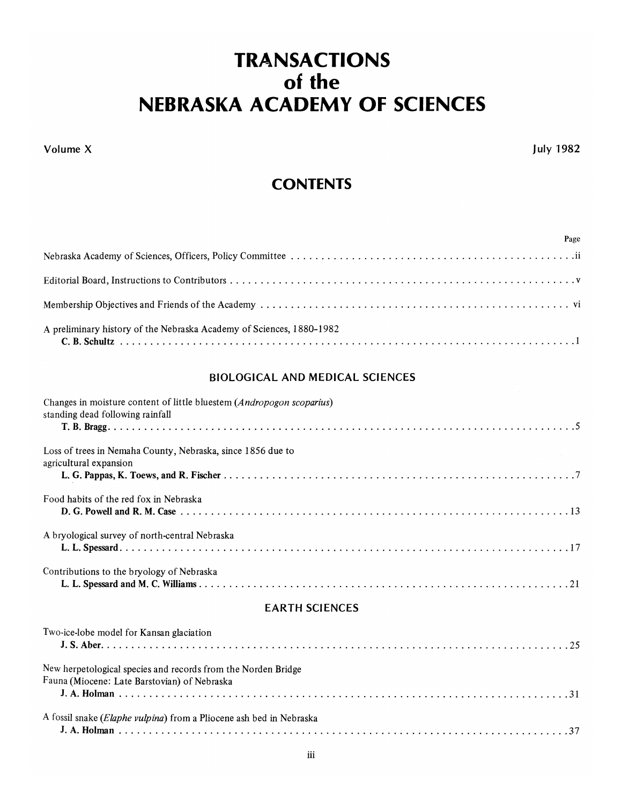# **TRANSACTIONS**  of the **NEBRASKA ACADEMY OF SCIENCES**

Volume X

July 1982

Page

## **CONTENTS**

| A preliminary history of the Nebraska Academy of Sciences, 1880-1982 |
|----------------------------------------------------------------------|

### BIOLOGICAL AND MEDICAL SCIENCES

| Changes in moisture content of little bluestem (Andropogon scoparius)<br>standing dead following rainfall     |
|---------------------------------------------------------------------------------------------------------------|
|                                                                                                               |
| Loss of trees in Nemaha County, Nebraska, since 1856 due to<br>agricultural expansion                         |
|                                                                                                               |
| Food habits of the red fox in Nebraska                                                                        |
| A bryological survey of north-central Nebraska                                                                |
| Contributions to the bryology of Nebraska                                                                     |
| <b>EARTH SCIENCES</b>                                                                                         |
| Two-ice-lobe model for Kansan glaciation                                                                      |
| New herpetological species and records from the Norden Bridge<br>Fauna (Miocene: Late Barstovian) of Nebraska |
|                                                                                                               |
| A fossil snake (Elaphe vulpina) from a Pliocene ash bed in Nebraska                                           |
|                                                                                                               |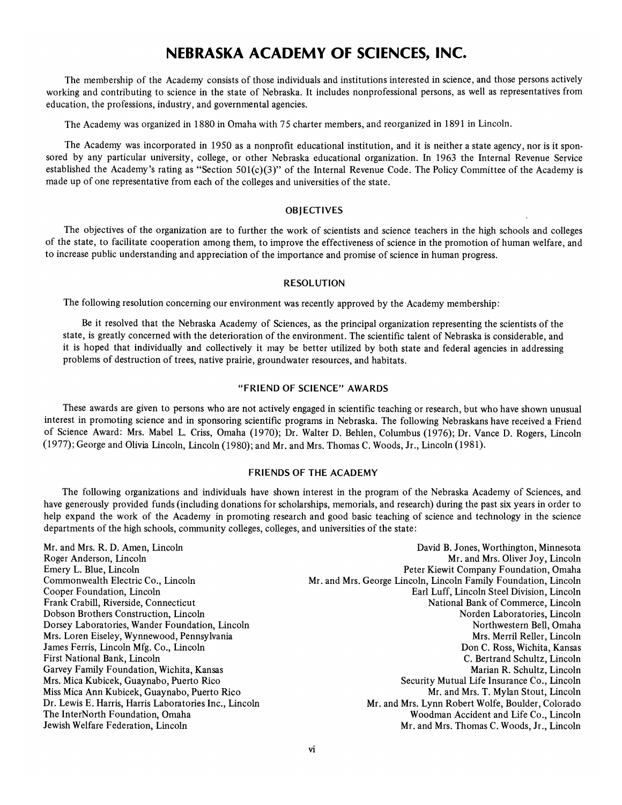## **NEBRASKA ACADEMY OF SCIENCES, INC.**

The membership of the Academy consists of those individuals and institutions interested in science, and those persons actively working and contributing to science in the state of Nebraska. It includes nonprofessional persons, as well as representatives from education, the professions, industry, and governmental agencies.

The Academy was organized in 1880 in Omaha with 75 charter members, and reorganized in 1891 in Lincoln.

The Academy was incorporated in 1950 as a nonprofit educational institution, and it is neither a state agency, nor is it sponsored by any particular university, college, or other Nebraska educational organization. In 1963 the Internal Revenue Service established the Academy's rating as "Section 501(c)(3)" of the Internal Revenue Code. The Policy Committee of the Academy is made up of one representative from each of the colleges and universities of the state.

#### **OBJECTIVES**

The objectives of the organization are to further the work of scientists and science teachers in the high schools and colleges of the state, to facilitate cooperation among them, to improve the effectiveness of science in the promotion of human welfare, and to increase public understanding and appreciation of the importance and promise of science in human progress.

#### RESOLUTION

The following resolution concerning our environment was recently approved by the Academy membership:

Be it resolved that the Nebraska Academy of Sciences, as the principal organization representing the scientists of the state, is greatly concerned with the deterioration of the environment. The scientific talent of Nebraska is considerable, and it is hoped that individually and collectively it may be better utilized by both state and federal agencies in addressing problems of destruction of trees, native prairie, groundwater resources, and habitats.

### "FRIEND OF SCIENCE" AWARDS

These awards are given to persons who are not actively engaged in scientific teaching or research, but who have shown unusual interest in promoting science and in sponsoring scientific programs in Nebraska. The following Nebraskans have received a Friend of Science Award: Mrs. Mabel L. Criss, Omaha (1970); Dr. WaIter D. Behlen, Columbus (1976); Dr. Vance D. Rogers, Lincoln (1977); George and Olivia Lincoln, Lincoln (1980); and Mr. and Mrs. Thomas C. Woods, Jr., Lincoln (1981).

#### FRIENDS OF THE ACADEMY

The following organizations and individuals have shown interest in the program of the Nebraska Academy of Sciences, and have generously provided funds (including donations for scholarships, memorials, and research) during the past six years in order to help expand the work of the Academy in promoting research and good basic teaching of science and technology in the science departments of the high schools, community colleges, colleges, and universities of the state:

Mr. and Mrs. R. D. Amen, Lincoln Roger Anderson, Lincoln Emery L. Blue, Lincoln Commonwealth Electric Co., Lincoln Cooper Foundation, Lincoln Frank Crabill, Riverside, Connecticut Dobson Brothers Construction, Lincoln Dorsey Laboratories, Wander Foundation, Lincoln Mrs. Loren Eiseley, Wynnewood, Pennsylvania James Ferris, Lincoln Mfg. Co., Lincoln First National Bank, Lincoln Garvey Family Foundation, Wichita, Kansas Mrs. Mica Kubicek, Guaynabo, Puerto Rico Miss Mica Ann Kubicek, Guaynabo, Puerto Rico Dr. Lewis E. Harris, Harris Laboratories Inc., Lincoln The InterNorth Foundation, Omaha Jewish Welfare Federation, Lincoln

David B. Jones, Worthington, Minnesota Mr. and Mrs. Oliver Joy, Lincoln Peter Kiewit Company Foundation, Omaha Mr. and Mrs. George Lincoln, Lincoln Family Foundation, Lincoln Earl Luff, Lincoln Steel Division, Lincoln National Bank of Commerce, Lincoln Norden Laboratories, Lincoln Northwestern Bell, Omaha Mrs. Merril Reller, Lincoln Don C. Ross, Wichita, Kansas C. Bertrand Schultz, Lincoln Marian R. Schultz, Lincoln Security Mutual Life Insurance Co., Lincoln Mr. and Mrs. T. Mylan Stout, Lincoln Mr. and Mrs. Lynn Robert Wolfe, Boulder, Colorado Woodman Accident and Life Co., Lincoln Mr. and Mrs. Thomas C. Woods, Jr., Lincoln